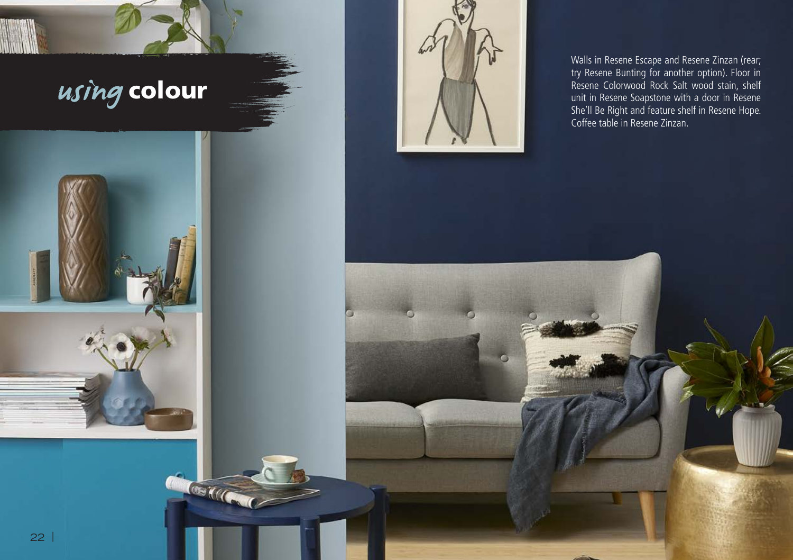

COME CONTROLLER



Walls in Resene Escape and Resene Zinzan (rear; try Resene Bunting for another option). Floor in Resene Colorwood Rock Salt wood stain, shelf unit in Resene Soapstone with a door in Resene She'll Be Right and feature shelf in Resene Hope. Coffee table in Resene Zinzan.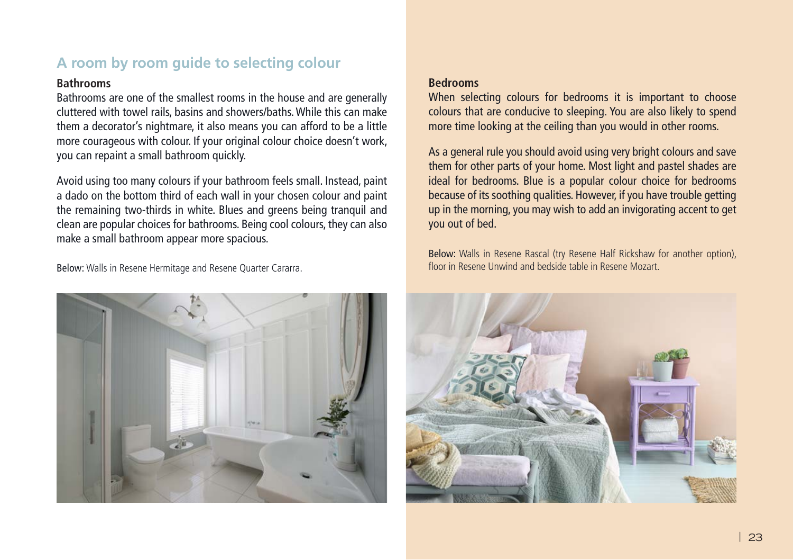## **A room by room guide to selecting colour**

#### **Bathrooms**

Bathrooms are one of the smallest rooms in the house and are generally cluttered with towel rails, basins and showers/baths. While this can make them a decorator's nightmare, it also means you can afford to be a little more courageous with colour. If your original colour choice doesn't work, you can repaint a small bathroom quickly.

Avoid using too many colours if your bathroom feels small. Instead, paint a dado on the bottom third of each wall in your chosen colour and paint the remaining two-thirds in white. Blues and greens being tranquil and clean are popular choices for bathrooms. Being cool colours, they can also make a small bathroom appear more spacious.

Below: Walls in Resene Hermitage and Resene Quarter Cararra.



#### **Bedrooms**

When selecting colours for bedrooms it is important to choose colours that are conducive to sleeping. You are also likely to spend more time looking at the ceiling than you would in other rooms.

As a general rule you should avoid using very bright colours and save them for other parts of your home. Most light and pastel shades are ideal for bedrooms. Blue is a popular colour choice for bedrooms because of its soothing qualities. However, if you have trouble getting up in the morning, you may wish to add an invigorating accent to get you out of bed.

Below: Walls in Resene Rascal (try Resene Half Rickshaw for another option), floor in Resene Unwind and bedside table in Resene Mozart.

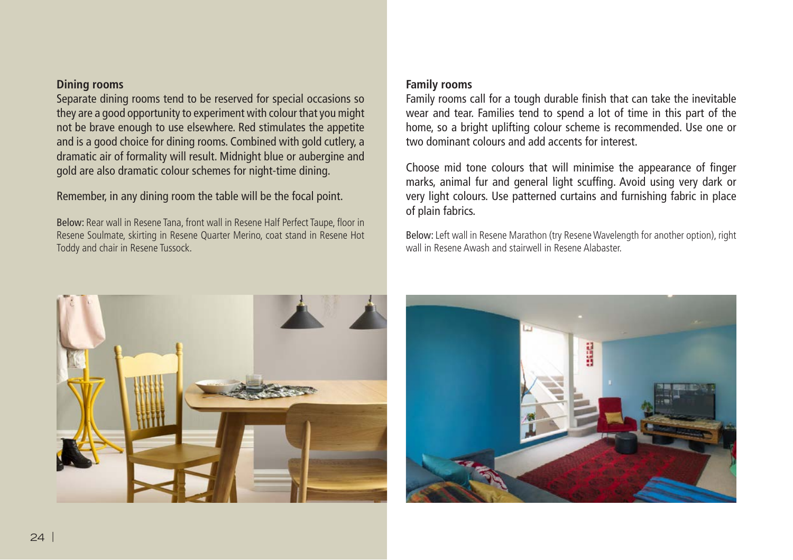#### **Dining rooms**

Separate dining rooms tend to be reserved for special occasions so they are a good opportunity to experiment with colour that you might not be brave enough to use elsewhere. Red stimulates the appetite and is a good choice for dining rooms. Combined with gold cutlery, a dramatic air of formality will result. Midnight blue or aubergine and gold are also dramatic colour schemes for night-time dining.

Remember, in any dining room the table will be the focal point.

Below: Rear wall in Resene Tana, front wall in Resene Half Perfect Taupe, floor in Resene Soulmate, skirting in Resene Quarter Merino, coat stand in Resene Hot Toddy and chair in Resene Tussock.

#### **Family rooms**

Family rooms call for a tough durable finish that can take the inevitable wear and tear. Families tend to spend a lot of time in this part of the home, so a bright uplifting colour scheme is recommended. Use one or two dominant colours and add accents for interest.

Choose mid tone colours that will minimise the appearance of finger marks, animal fur and general light scuffing. Avoid using very dark or very light colours. Use patterned curtains and furnishing fabric in place of plain fabrics.

Below: Left wall in Resene Marathon (try Resene Wavelength for another option), right wall in Resene Awash and stairwell in Resene Alabaster.



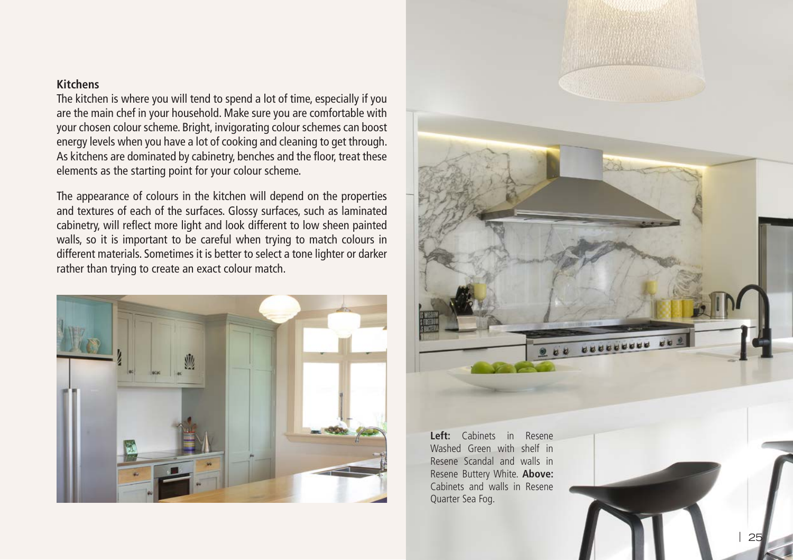### **Kitchens**

The kitchen is where you will tend to spend a lot of time, especially if you are the main chef in your household. Make sure you are comfortable with your chosen colour scheme. Bright, invigorating colour schemes can boost energy levels when you have a lot of cooking and cleaning to get through. As kitchens are dominated by cabinetry, benches and the floor, treat these elements as the starting point for your colour scheme.

The appearance of colours in the kitchen will depend on the properties and textures of each of the surfaces. Glossy surfaces, such as laminated cabinetry, will reflect more light and look different to low sheen painted walls, so it is important to be careful when trying to match colours in different materials. Sometimes it is better to select a tone lighter or darker rather than trying to create an exact colour match.





**Left:** Cabinets in Resene Washed Green with shelf in Resene Scandal and walls in Resene Buttery White. **Above:**  Cabinets and walls in Resene Quarter Sea Fog.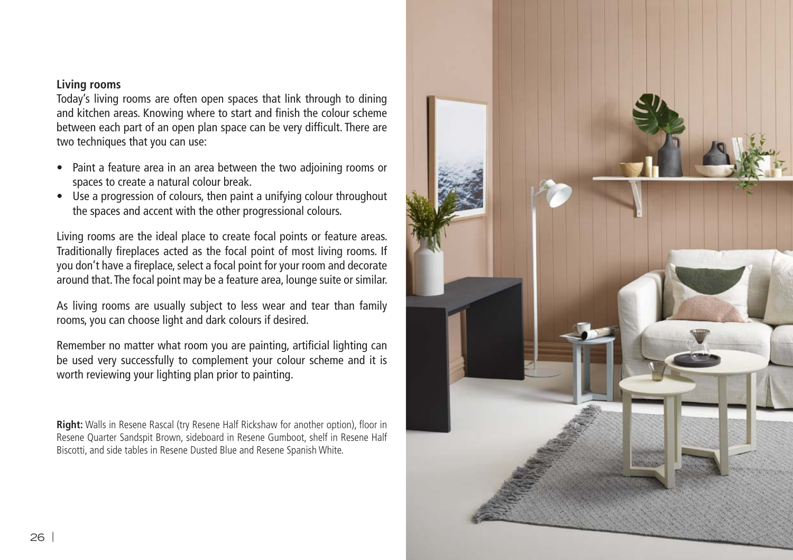#### **Living rooms**

Today's living rooms are often open spaces that link through to dining and kitchen areas. Knowing where to start and finish the colour scheme between each part of an open plan space can be very difficult. There are two techniques that you can use:

- Paint a feature area in an area between the two adjoining rooms or spaces to create a natural colour break.
- Use a progression of colours, then paint a unifying colour throughout the spaces and accent with the other progressional colours.

Living rooms are the ideal place to create focal points or feature areas. Traditionally fireplaces acted as the focal point of most living rooms. If you don't have a fireplace, select a focal point for your room and decorate around that. The focal point may be a feature area, lounge suite or similar.

As living rooms are usually subject to less wear and tear than family rooms, you can choose light and dark colours if desired.

Remember no matter what room you are painting, artificial lighting can be used very successfully to complement your colour scheme and it is worth reviewing your lighting plan prior to painting.

**Right:** Walls in Resene Rascal (try Resene Half Rickshaw for another option), floor in Resene Quarter Sandspit Brown, sideboard in Resene Gumboot, shelf in Resene Half Biscotti, and side tables in Resene Dusted Blue and Resene Spanish White.

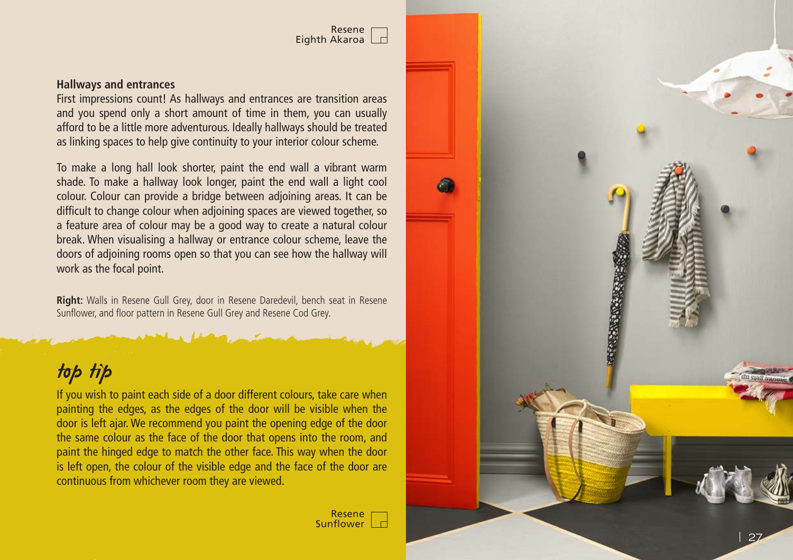

#### **Hallways and entrances**

First impressions count! As hallways and entrances are transition areas and you spend only a short amount of time in them, you can usually afford to be a little more adventurous. Ideally hallways should be treated as linking spaces to help give continuity to your interior colour scheme.

To make a long hall look shorter, paint the end wall a vibrant warm shade. To make a hallway look longer, paint the end wall a light cool colour. Colour can provide a bridge between adjoining areas. It can be difficult to change colour when adjoining spaces are viewed together, so a feature area of colour may be a good way to create a natural colour break. When visualising a hallway or entrance colour scheme, leave the doors of adjoining rooms open so that you can see how the hallway will work as the focal point.

**Right:** Walls in Resene Gull Grey, door in Resene Daredevil, bench seat in Resene Sunflower, and floor pattern in Resene Gull Grey and Resene Cod Grey.

# top tip

If you wish to paint each side of a door different colours, take care when painting the edges, as the edges of the door will be visible when the door is left ajar. We recommend you paint the opening edge of the door the same colour as the face of the door that opens into the room, and paint the hinged edge to match the other face. This way when the door is left open, the colour of the visible edge and the face of the door are continuous from whichever room they are viewed.

> Resene Sunflower |

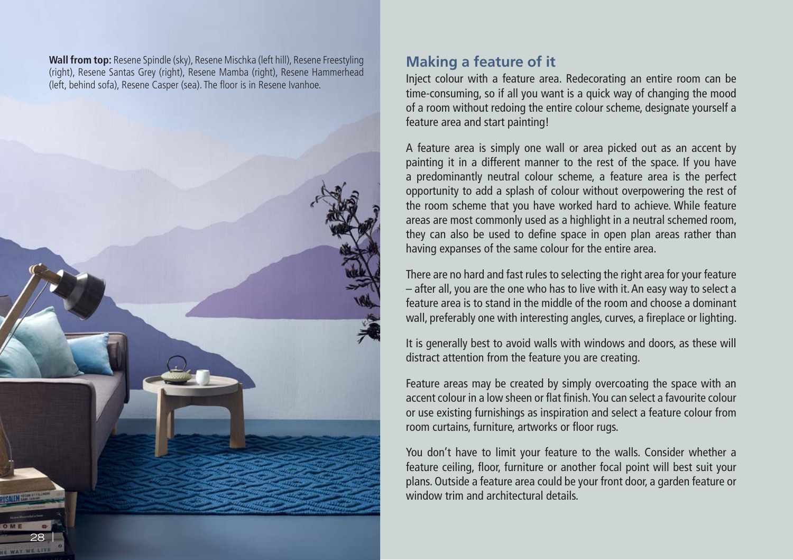**Wall from top:** Resene Spindle (sky), Resene Mischka (left hill), Resene Freestyling (right), Resene Santas Grey (right), Resene Mamba (right), Resene Hammerhead (left, behind sofa), Resene Casper (sea). The floor is in Resene Ivanhoe.



## **Making a feature of it**

Inject colour with a feature area. Redecorating an entire room can be time-consuming, so if all you want is a quick way of changing the mood of a room without redoing the entire colour scheme, designate yourself a feature area and start painting!

A feature area is simply one wall or area picked out as an accent by painting it in a different manner to the rest of the space. If you have a predominantly neutral colour scheme, a feature area is the perfect opportunity to add a splash of colour without overpowering the rest of the room scheme that you have worked hard to achieve. While feature areas are most commonly used as a highlight in a neutral schemed room, they can also be used to define space in open plan areas rather than having expanses of the same colour for the entire area.

There are no hard and fast rules to selecting the right area for your feature – after all, you are the one who has to live with it. An easy way to select a feature area is to stand in the middle of the room and choose a dominant wall, preferably one with interesting angles, curves, a fireplace or lighting.

It is generally best to avoid walls with windows and doors, as these will distract attention from the feature you are creating.

Feature areas may be created by simply overcoating the space with an accent colour in a low sheen or flat finish. You can select a favourite colour or use existing furnishings as inspiration and select a feature colour from room curtains, furniture, artworks or floor rugs.

You don't have to limit your feature to the walls. Consider whether a feature ceiling, floor, furniture or another focal point will best suit your plans. Outside a feature area could be your front door, a garden feature or window trim and architectural details.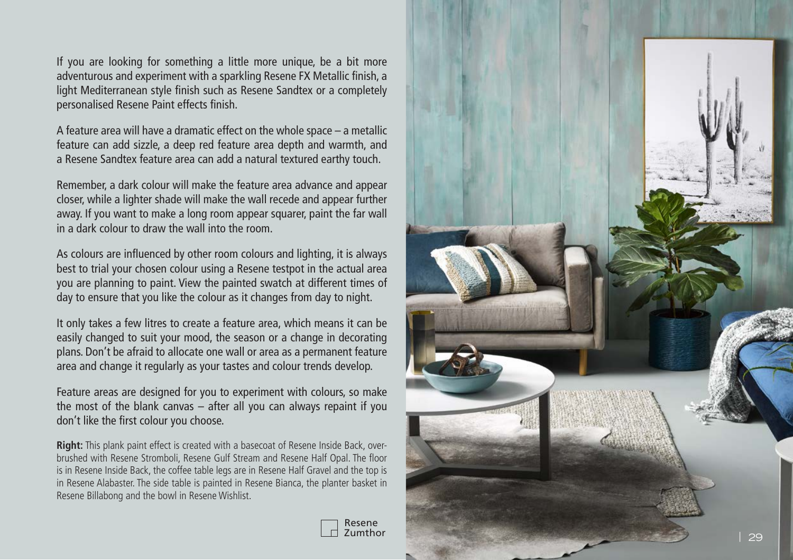If you are looking for something a little more unique, be a bit more adventurous and experiment with a sparkling Resene FX Metallic finish, a light Mediterranean style finish such as Resene Sandtex or a completely personalised Resene Paint effects finish.

A feature area will have a dramatic effect on the whole space – a metallic feature can add sizzle, a deep red feature area depth and warmth, and a Resene Sandtex feature area can add a natural textured earthy touch.

Remember, a dark colour will make the feature area advance and appear closer, while a lighter shade will make the wall recede and appear further away. If you want to make a long room appear squarer, paint the far wall in a dark colour to draw the wall into the room.

As colours are influenced by other room colours and lighting, it is always best to trial your chosen colour using a Resene testpot in the actual area you are planning to paint. View the painted swatch at different times of day to ensure that you like the colour as it changes from day to night.

It only takes a few litres to create a feature area, which means it can be easily changed to suit your mood, the season or a change in decorating plans. Don't be afraid to allocate one wall or area as a permanent feature area and change it regularly as your tastes and colour trends develop.

Feature areas are designed for you to experiment with colours, so make the most of the blank canvas – after all you can always repaint if you don't like the first colour you choose.

**Right:** This plank paint effect is created with a basecoat of Resene Inside Back, overbrushed with Resene Stromboli, Resene Gulf Stream and Resene Half Opal. The floor is in Resene Inside Back, the coffee table legs are in Resene Half Gravel and the top is in Resene Alabaster. The side table is painted in Resene Bianca, the planter basket in Resene Billabong and the bowl in Resene Wishlist.



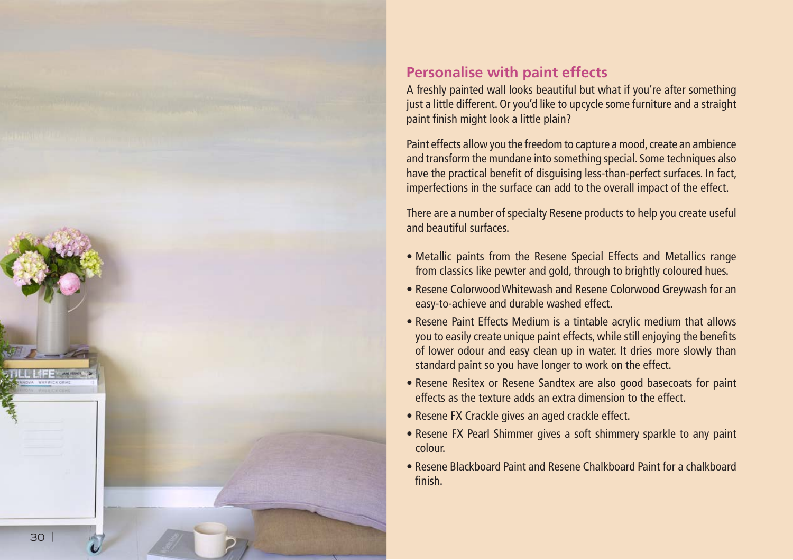

## **Personalise with paint effects**

A freshly painted wall looks beautiful but what if you're after something just a little different. Or you'd like to upcycle some furniture and a straight paint finish might look a little plain?

Paint effects allow you the freedom to capture a mood, create an ambience and transform the mundane into something special. Some techniques also have the practical benefit of disguising less-than-perfect surfaces. In fact, imperfections in the surface can add to the overall impact of the effect.

There are a number of specialty Resene products to help you create useful and beautiful surfaces.

- Metallic paints from the Resene Special Effects and Metallics range from classics like pewter and gold, through to brightly coloured hues.
- Resene Colorwood Whitewash and Resene Colorwood Greywash for an easy-to-achieve and durable washed effect.
- Resene Paint Effects Medium is a tintable acrylic medium that allows you to easily create unique paint effects, while still enjoying the benefits of lower odour and easy clean up in water. It dries more slowly than standard paint so you have longer to work on the effect.
- Resene Resitex or Resene Sandtex are also good basecoats for paint effects as the texture adds an extra dimension to the effect.
- Resene FX Crackle gives an aged crackle effect.
- Resene FX Pearl Shimmer gives a soft shimmery sparkle to any paint colour.
- Resene Blackboard Paint and Resene Chalkboard Paint for a chalkboard finish.